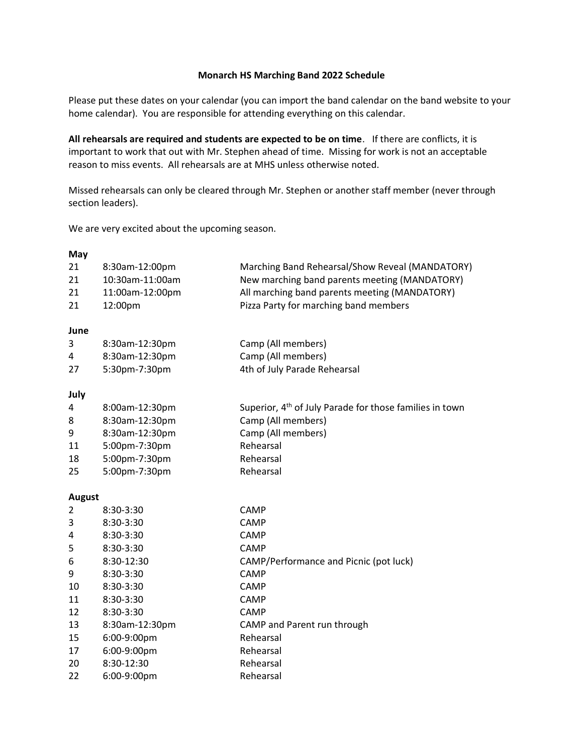## **Monarch HS Marching Band 2022 Schedule**

Please put these dates on your calendar (you can import the band calendar on the band website to your home calendar). You are responsible for attending everything on this calendar.

**All rehearsals are required and students are expected to be on time**. If there are conflicts, it is important to work that out with Mr. Stephen ahead of time. Missing for work is not an acceptable reason to miss events. All rehearsals are at MHS unless otherwise noted.

Missed rehearsals can only be cleared through Mr. Stephen or another staff member (never through section leaders).

We are very excited about the upcoming season.

| May<br>21<br>21 | 8:30am-12:00pm<br>10:30am-11:00am | Marching Band Rehearsal/Show Reveal (MANDATORY)<br>New marching band parents meeting (MANDATORY) |
|-----------------|-----------------------------------|--------------------------------------------------------------------------------------------------|
| 21<br>21        | 11:00am-12:00pm                   | All marching band parents meeting (MANDATORY)                                                    |
|                 | 12:00pm                           | Pizza Party for marching band members                                                            |
| June            |                                   |                                                                                                  |
| 3               | 8:30am-12:30pm                    | Camp (All members)                                                                               |
| 4               | 8:30am-12:30pm                    | Camp (All members)                                                                               |
| 27              | 5:30pm-7:30pm                     | 4th of July Parade Rehearsal                                                                     |
| July            |                                   |                                                                                                  |
| 4               | 8:00am-12:30pm                    | Superior, 4 <sup>th</sup> of July Parade for those families in town                              |
| 8               | 8:30am-12:30pm                    | Camp (All members)                                                                               |
| 9               | 8:30am-12:30pm                    | Camp (All members)                                                                               |
| 11              | 5:00pm-7:30pm                     | Rehearsal                                                                                        |
| 18              | 5:00pm-7:30pm                     | Rehearsal                                                                                        |
| 25              | 5:00pm-7:30pm                     | Rehearsal                                                                                        |
| <b>August</b>   |                                   |                                                                                                  |
| $\overline{2}$  | 8:30-3:30                         | CAMP                                                                                             |
| 3               | 8:30-3:30                         | CAMP                                                                                             |
| 4               | 8:30-3:30                         | CAMP                                                                                             |
| 5               | 8:30-3:30                         | CAMP                                                                                             |
| 6               | 8:30-12:30                        | CAMP/Performance and Picnic (pot luck)                                                           |
| 9               | 8:30-3:30                         | CAMP                                                                                             |
| 10              | 8:30-3:30                         | CAMP                                                                                             |
| 11              | 8:30-3:30                         | <b>CAMP</b>                                                                                      |
| 12              | 8:30-3:30                         | <b>CAMP</b>                                                                                      |
| 13              | 8:30am-12:30pm                    | CAMP and Parent run through                                                                      |
| 15              | 6:00-9:00pm                       | Rehearsal                                                                                        |
| 17              | 6:00-9:00pm                       | Rehearsal                                                                                        |
| 20              | 8:30-12:30                        | Rehearsal                                                                                        |
| 22              | 6:00-9:00pm                       | Rehearsal                                                                                        |